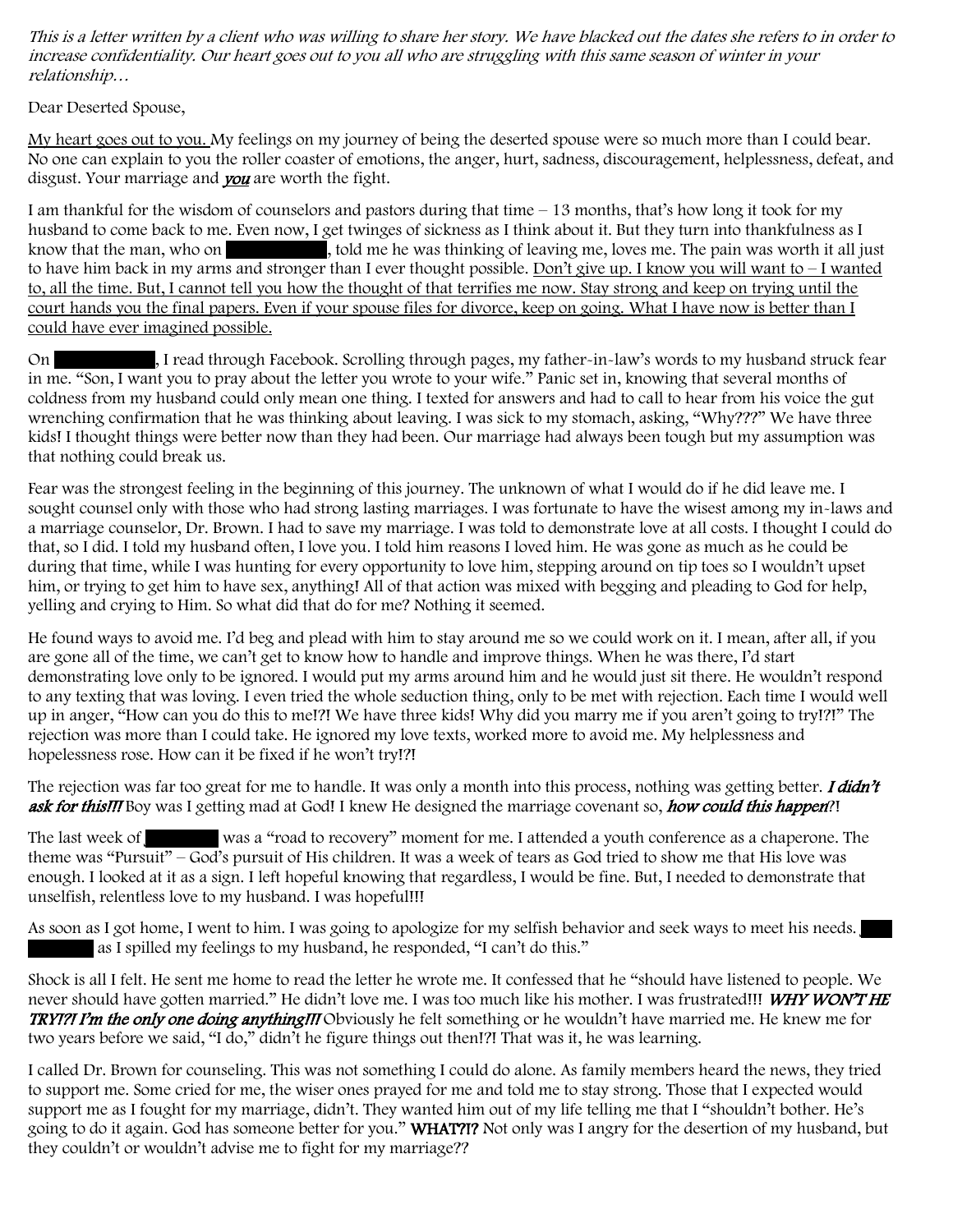This is a letter written by a client who was willing to share her story. We have blacked out the dates she refers to in order to increase confidentiality. Our heart goes out to you all who are struggling with this same season of winter in your relationship…

Dear Deserted Spouse,

My heart goes out to you. My feelings on my journey of being the deserted spouse were so much more than I could bear. No one can explain to you the roller coaster of emotions, the anger, hurt, sadness, discouragement, helplessness, defeat, and disgust. Your marriage and **you** are worth the fight.

I am thankful for the wisdom of counselors and pastors during that time – 13 months, that's how long it took for my husband to come back to me. Even now, I get twinges of sickness as I think about it. But they turn into thankfulness as I know that the man, who on  $\blacksquare$ , told me he was thinking of leaving me, loves me. The pain was worth it all just to have him back in my arms and stronger than I ever thought possible. Don't give up. I know you will want to – I wanted to, all the time. But, I cannot tell you how the thought of that terrifies me now. Stay strong and keep on trying until the court hands you the final papers. Even if your spouse files for divorce, keep on going. What I have now is better than I could have ever imagined possible.

On San 2012, I read through Facebook. Scrolling through pages, my father-in-law's words to my husband struck fear in me. "Son, I want you to pray about the letter you wrote to your wife." Panic set in, knowing that several months of coldness from my husband could only mean one thing. I texted for answers and had to call to hear from his voice the gut wrenching confirmation that he was thinking about leaving. I was sick to my stomach, asking, "Why???" We have three kids! I thought things were better now than they had been. Our marriage had always been tough but my assumption was that nothing could break us.

Fear was the strongest feeling in the beginning of this journey. The unknown of what I would do if he did leave me. I sought counsel only with those who had strong lasting marriages. I was fortunate to have the wisest among my in-laws and a marriage counselor, Dr. Brown. I had to save my marriage. I was told to demonstrate love at all costs. I thought I could do that, so I did. I told my husband often, I love you. I told him reasons I loved him. He was gone as much as he could be during that time, while I was hunting for every opportunity to love him, stepping around on tip toes so I wouldn't upset him, or trying to get him to have sex, anything! All of that action was mixed with begging and pleading to God for help, yelling and crying to Him. So what did that do for me? Nothing it seemed.

He found ways to avoid me. I'd beg and plead with him to stay around me so we could work on it. I mean, after all, if you are gone all of the time, we can't get to know how to handle and improve things. When he was there, I'd start demonstrating love only to be ignored. I would put my arms around him and he would just sit there. He wouldn't respond to any texting that was loving. I even tried the whole seduction thing, only to be met with rejection. Each time I would well up in anger, "How can you do this to me!?! We have three kids! Why did you marry me if you aren't going to try!?!" The rejection was more than I could take. He ignored my love texts, worked more to avoid me. My helplessness and hopelessness rose. How can it be fixed if he won't try!?!

The rejection was far too great for me to handle. It was only a month into this process, nothing was getting better. I didn't ask for this!!! Boy was I getting mad at God! I knew He designed the marriage covenant so, how could this happen?!

The last week of vas a "road to recovery" moment for me. I attended a youth conference as a chaperone. The theme was "Pursuit" – God's pursuit of His children. It was a week of tears as God tried to show me that His love was enough. I looked at it as a sign. I left hopeful knowing that regardless, I would be fine. But, I needed to demonstrate that unselfish, relentless love to my husband. I was hopeful!!!

As soon as I got home, I went to him. I was going to apologize for my selfish behavior and seek ways to meet his needs. as I spilled my feelings to my husband, he responded, "I can't do this."

Shock is all I felt. He sent me home to read the letter he wrote me. It confessed that he "should have listened to people. We never should have gotten married." He didn't love me. I was too much like his mother. I was frustrated!!! WHY WON'T HE TRY!?! I'm the only one doing anything!!! Obviously he felt something or he wouldn't have married me. He knew me for two years before we said, "I do," didn't he figure things out then!?! That was it, he was learning.

I called Dr. Brown for counseling. This was not something I could do alone. As family members heard the news, they tried to support me. Some cried for me, the wiser ones prayed for me and told me to stay strong. Those that I expected would support me as I fought for my marriage, didn't. They wanted him out of my life telling me that I "shouldn't bother. He's going to do it again. God has someone better for you." WHAT?!? Not only was I angry for the desertion of my husband, but they couldn't or wouldn't advise me to fight for my marriage??